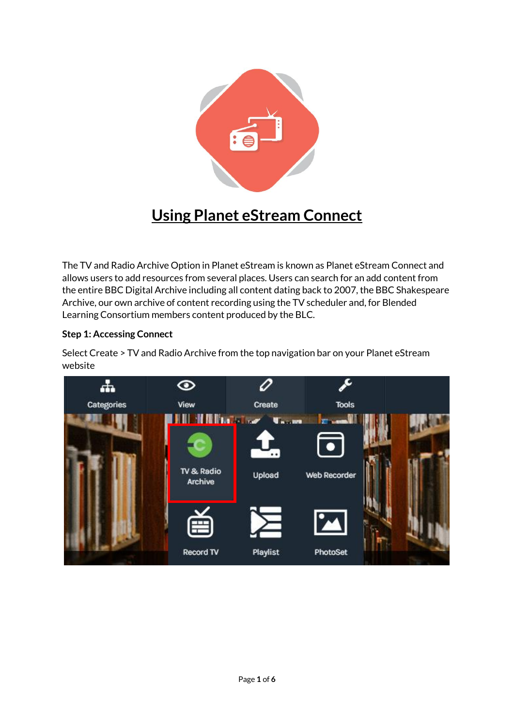

# **Using Planet eStream Connect**

The TV and Radio Archive Option in Planet eStream is known as Planet eStream Connect and allows users to add resources from several places. Users can search for an add content from the entire BBC Digital Archive including all content dating back to 2007, the BBC Shakespeare Archive, our own archive of content recording using the TV scheduler and, for Blended Learning Consortium members content produced by the BLC.

## **Step 1: Accessing Connect**

Select Create > TV and Radio Archive from the top navigation bar on your Planet eStream website

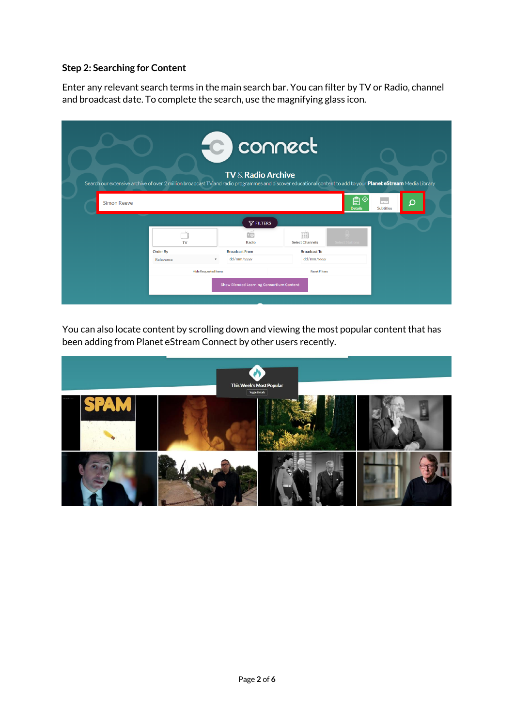#### **Step 2: Searching for Content**

Enter any relevant search terms in the main search bar. You can filter by TV or Radio, channel and broadcast date. To complete the search, use the magnifying glass icon.

|                    | Search our extensive archive of over 2 million broadcast TV and radio programmes and discover educational content to add to your Planet eStream Media Library | FC connect<br>$TV \&$ Radio Archive             |                             |                          |                        |  |
|--------------------|---------------------------------------------------------------------------------------------------------------------------------------------------------------|-------------------------------------------------|-----------------------------|--------------------------|------------------------|--|
| <b>Simon Reeve</b> |                                                                                                                                                               | $\nabla$ FILTERS                                |                             | ⊗<br>Ê<br><b>Details</b> | m.<br><b>Subtitles</b> |  |
|                    | TV                                                                                                                                                            | Radio                                           | 画<br><b>Select Channels</b> |                          |                        |  |
|                    | Order By                                                                                                                                                      | <b>Broadcast From</b>                           | <b>Broadcast To</b>         |                          |                        |  |
|                    | Relevance                                                                                                                                                     | dd/mm/yyyy                                      | dd/mm/yyyy                  |                          |                        |  |
|                    | <b>Hide Requested Items</b><br><b>Reset Filters</b>                                                                                                           |                                                 |                             |                          |                        |  |
|                    |                                                                                                                                                               | <b>Show Blended Learning Consortium Content</b> |                             |                          |                        |  |

You can also locate content by scrolling down and viewing the most popular content that has been adding from Planet eStream Connect by other users recently.

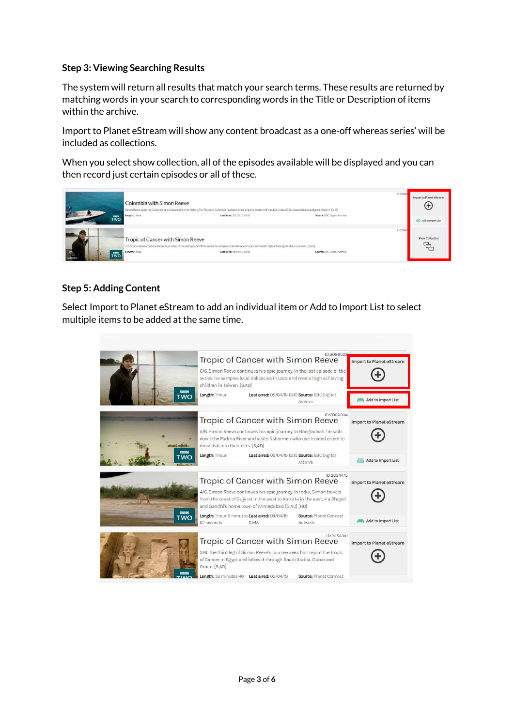#### **Step 3: Viewing Searching Results**

The system will return all results that match your search terms. These results are returned by matching words in your search to corresponding words in the Title or Description of items within the archive.

Import to Planet eStream will show any content broadcast as a one-off whereas series' will be included as collections.

When you select show collection, all of the episodes available will be displayed and you can then record just certain episodes or all of these.



## **Step 5: Adding Content**

Select Import to Planet eStream to add an individual item or Add to Import List to select multiple items to be added at the same time.

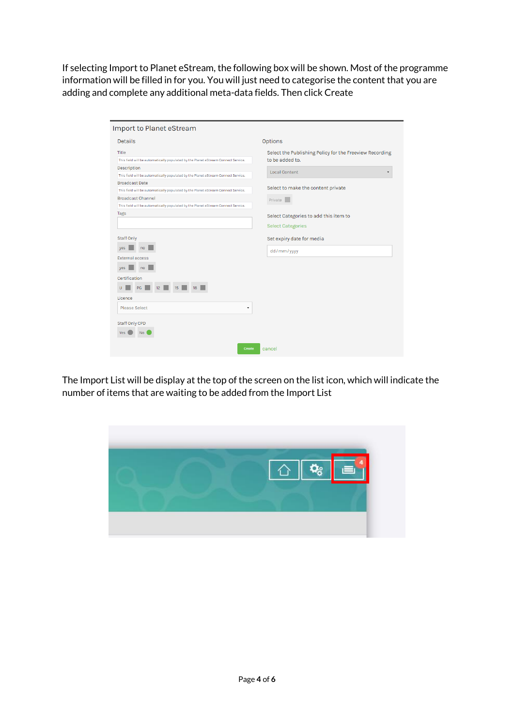If selecting Import to Planet eStream, the following box will be shown. Most of the programme information will be filled in for you. You will just need to categorise the content that you are adding and complete any additional meta-data fields. Then click Create

| Import to Planet eStream                                                                                                                                                                                                                                                                                                                                                                                                                                   |                                                                                                                                                                                                                          |
|------------------------------------------------------------------------------------------------------------------------------------------------------------------------------------------------------------------------------------------------------------------------------------------------------------------------------------------------------------------------------------------------------------------------------------------------------------|--------------------------------------------------------------------------------------------------------------------------------------------------------------------------------------------------------------------------|
| <b>Details</b>                                                                                                                                                                                                                                                                                                                                                                                                                                             | <b>Options</b>                                                                                                                                                                                                           |
| <b>Title</b><br>This field will be automatically populated by the Planet eStream Connect Service.<br>Description<br>This field will be automatically populated by the Planet eStream Connect Service.<br><b>Broadcast Date</b><br>This field will be automatically populated by the Planet eStream Connect Service.<br><b>Broadcast Channel</b><br>This field will be automatically populated by the Planet eStream Connect Service.<br>Tags<br>Staff Only | Select the Publishing Policy for the Freeview Recording<br>to be added to.<br><b>Local Content</b><br>Select to make the content private<br>Private<br>Select Categories to add this item to<br><b>Select Categories</b> |
| yes<br>no<br><b>External access</b><br>yes<br>no<br>Certification<br>U<br>PG<br>Licence<br><b>Please Select</b><br>٠                                                                                                                                                                                                                                                                                                                                       | Set expiry date for media<br>dd/mm/yyyy                                                                                                                                                                                  |
| Staff Only CPD<br><b>Yes</b><br><b>No</b><br>Create                                                                                                                                                                                                                                                                                                                                                                                                        | cancel                                                                                                                                                                                                                   |

The Import List will be display at the top of the screen on the list icon, which will indicate the number of items that are waiting to be added from the Import List

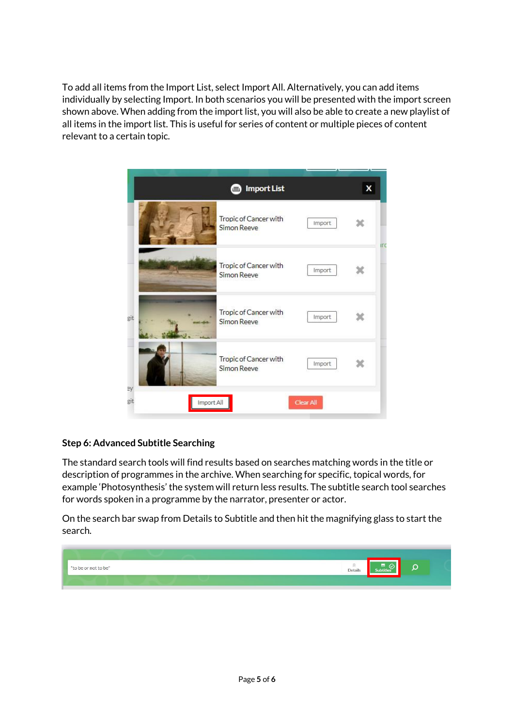To add all items from the Import List, select Import All. Alternatively, you can add items individually by selecting Import. In both scenarios you will be presented with the import screen shown above. When adding from the import list, you will also be able to create a new playlist of all items in the import list. This is useful for series of content or multiple pieces of content relevant to a certain topic.



## **Step 6: Advanced Subtitle Searching**

The standard search tools will find results based on searches matching words in the title or description of programmes in the archive. When searching for specific, topical words, for example 'Photosynthesis' the system will return less results. The subtitle search tool searches for words spoken in a programme by the narrator, presenter or actor.

On the search bar swap from Details to Subtitle and then hit the magnifying glass to start the search.

![](_page_4_Picture_5.jpeg)